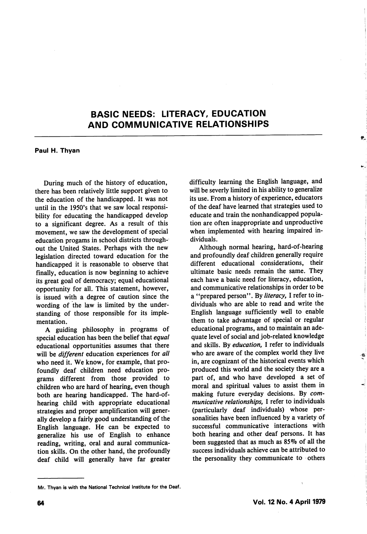## BASIC NEEDS: LITERACY, EDUCATION AND COMMUNICATIVE RELATIONSHIPS

Paul H. Thyan

During much of the history of education, there has been relatively little support given to the education of the handicapped. It was not until in the 1950's that we saw local responsi bility for educating the handicapped develop to a significant degree. As a result of this movement, we saw the development of special education progams in school districts through out the United States. Perhaps with the new legislation directed toward education for the handicapped it is reasonable to observe that finally, education is now beginning to achieve its great goal of democracy; equal educational opportunity for all. This statement, however, is issued with a degree of caution since the wording of the law is limited by the under standing of those responsible for its imple mentation.

A guiding philosophy in programs of special education has been the belief that equal educational opportunities assumes that there will be *different* education experiences for all who need it. We know, for example, that pro foundly deaf children need education pro grams different from those provided to children who are hard of hearing, even though both are hearing handicapped. The hard-ofhearing child with appropriate educational strategies and proper amplification will gener ally develop a fairly good understanding of the English language. He can be expected to generalize his use of English to enhance reading, writing, oral and aural communica tion skills. On the other hand, the profoundly deaf child will generally have far greater difficulty learning the English language, and will be severly limited in his ability to generalize its use. From a history of experience, educators of the deaf have learned that strategies used to educate and train the nonhandicapped popula tion are often inappropriate and unproductive when implemented with hearing impaired in dividuals.

Although normal hearing, hard-of-hearing and profoundly deaf children generally require different educational considerations, their ultimate basic needs remain the same. They each have a basic need for literacy, education, and communicative relationships in order to be a "prepared person". By literacy, I refer to individuals who are able to read and write the English language sufficiently well to enable them to take advantage of special or regular educational programs, and to maintain an ade quate level of social and job-related knowledge and skills. By education, I refer to individuals who are aware of the complex world they live in, are cognizant of the historical events which produced this world and the society they are a part of, and who have developed a set of moral and spiritual values to assist them in making future everyday decisions. By com municative relationships, I refer to individuals (particularly deaf individuals) whose per sonalities have been influenced by a variety of successful communicative interactions with both hearing and other deaf persons. It has been suggested that as much as 85% of all the success individuals achieve can be attributed to the personality they communicate to others

Mr. Thyan is with the National Technical Institute for the Deaf.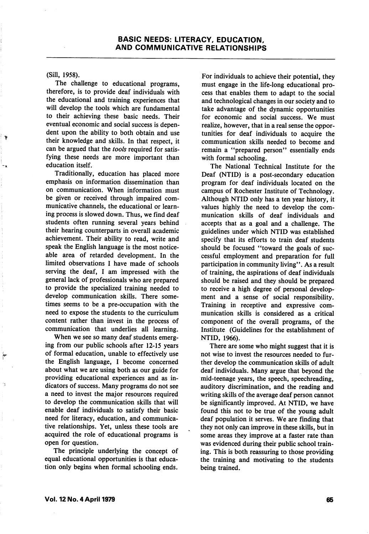(Sill, 1958).

The challenge to educational programs, therefore, is to provide deaf individuals with the educational and training experiences that will develop the tools which are fundamental to their achieving these basic needs. Their eventual economic and social success is depen dent upon the ability to both obtain and use their knowledge and skills. In that respect, it can be argued that the tools required for satisfying these needs are more important than education itself.

Traditionally, education has placed more emphasis on information dissemination than on communication. When information must be given or received through impaired com municative channels, the educational or learn ing process is slowed down. Thus, we find deaf students often running several years behind their hearing counterparts in overall academic achievement. Their ability to read, write and speak the English language is the most notice able area of retarded development. In the limited observations I have made of schools serving the deaf, I am impressed with the general lack of professionals who are prepared to provide the specialized training needed to develop communication skills. There some times seems to be a pre-occupation with the need to expose the students to the curriculum content rather than invest in the process of communication that underlies all learning.

When we see so many deaf students emerg ing from our public schools after 12-15 years of formal education, unable to effectively use the English language, I become concerned about what we are using both as our guide for providing educational experiences and as in dicators of success. Many programs do not see a need to invest the major resources required to develop the communication skills that will enable deaf individuals to satisfy their basic need for literacy, education, and communica tive relationships. Yet, unless these tools are acquired the role of educational programs is open for question.

The principle underlying the concept of equal educational opportunities is that educa tion only begins when formal schooling ends.

For individuals to achieve their potential, they must engage in the life-long educational pro cess that enables them to adapt to the social and technological changes in our society and to take advantage of the dynamic opportunities for economic and social success. We must realize, however, that in a real sense the oppor tunities for deaf individuals to acquire the communication skills needed to become and remain a "prepared person" essentially ends with formal schooling.

The National Technical Institute for the Deaf (NTID) is a post-secondary education program for deaf individuals located on the campus of Rochester Institute of Technology. Although NTID only has a ten year history, it values highly the need to develop the com munication skills of deaf individuals and accepts that as a goal and a challenge. The guidelines under which NTID was established specify that its efforts to train deaf students should be focused "toward the goals of successful employment and preparation for full participation in community living". As a result of training, the aspirations of deaf individuals should be raised and they should be prepared to receive a high degree of personal develop ment and a sense of social responsibility. Training in receptive and expressive com munication skills is considered as a critical component of the overall programs, of the Institute (Guidelines for the establishment of NTID, 1966).

There are some who might suggest that it is not wise to invest the resources needed to fur ther develop the communication skills of adult deaf individuals. Many argue that beyond the mid-teenage years, the speech, speechreading, auditory discrimination, and the reading and writing skills of the average deaf person cannot be significantly improved. At NTID, we have found this not to be true of the young adult deaf population it serves. We are finding that they not only can improve in these skills, but in some areas they improve at a faster rate than was evidenced during their public school train ing. This is both reassuring to those providing the training and motivating to the students being trained.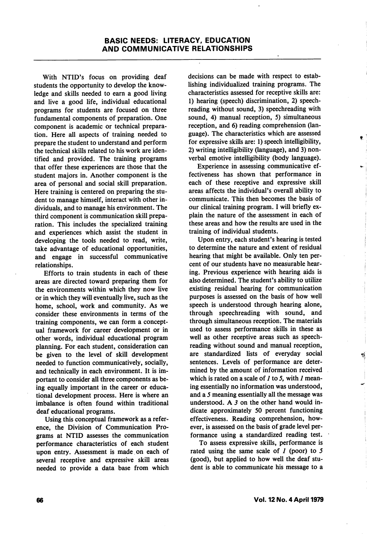With NTID's focus on providing deaf students the opportunity to develop the know ledge and skills needed to earn a good living and live a good life, individual educational programs for students are focused on three fundamental components of preparation. One component is academic or technical prepara tion. Here all aspects of training needed to prepare the student to understand and perform the technical skills related to his work are iden tified and provided. The training programs that offer these experiences are those that the student majors in. Another component is the area of personal and social skill preparation. Here training is centered on preparing the stu dent to manage himself, interact with other in dividuals, and to manage his environment. The third component is communication skill prepa ration. This includes the specialized training and experiences which assist the student in developing the tools needed to read, write, take advantage of educational opportunities, and engage in successful communicative relationships.

Efforts to train students in each of these areas are directed toward preparing them for the environments within which they now live or in which they will eventually live, such as the home, school, work and community. As we consider these environments in terms of the training components, we can form a concept ual framework for career development or in other words, individual educational program planning. For each student, consideration can be given to the level of skill development needed to function communicatively, socially, and technically in each environment. It is im portant to consider all three components as be ing equally important in the career or educa tional development process. Here is where an imbalance is often found within traditional deaf educational programs.

Using this conceptual framework as a refer ence, the Division of Communication Pro grams at NTID assesses the communication performance characteristics of each student upon entry. Assessment is made on each of several receptive and expressive skill areas needed to provide a data base from which decisions can be made with respect to estab lishing individualized training programs. The characteristics assessed for receptive skills are: 1) hearing (speech) discrimination, 2) speechreading without sound, 3) speechreading with sound, 4) manual reception, 5) simultaneous reception, and 6) reading comprehension (lan guage). The characteristics which are assessed for expressive skills are: 1) speech intelligibility, 2) writing intelligibility (language), and 3) non verbal emotive intelligibility (body language).

Experience in assessing communicative ef fectiveness has shown that performance in each of these receptive and expressive skill areas affects the individual's overall ability to communicate. This then becomes the basis of our clinical training program. I will briefly ex plain the nature of the assessment in each of these areas and how the results are used in the training of individual students.

Upon entry, each student's hearing is tested to determine the nature and extent of residual hearing that might be available. Only ten per cent of our students have no measurable hear ing. Previous experience with hearing aids is also determined. The student's ability to utilize existing residual hearing for communication purposes is assessed on the basis of how well speech is understood through hearing alone, through speechreading with sound, and through simultaneous reception. The materials used to assess performance skills in these as well as other receptive areas such as speechreading without sound and manual reception, are standardized lists of everyday social sentences. Levels of performance are deter mined by the amount of information received which is rated on a scale of  $I$  to  $I$ , with  $I$  meaning essentially no information was understood, and a 5 meaning essentially all the message was understood. A  $3$  on the other hand would indicate approximately 50 percent functioning effectiveness. Reading comprehension, how ever, is assessed on the basis of grade level per formance using a standardized reading test.

To assess expressive skills, performance is rated using the same scale of  $\ell$  (poor) to 5 (good), but applied to how well the deaf stu dent is able to communicate his message to a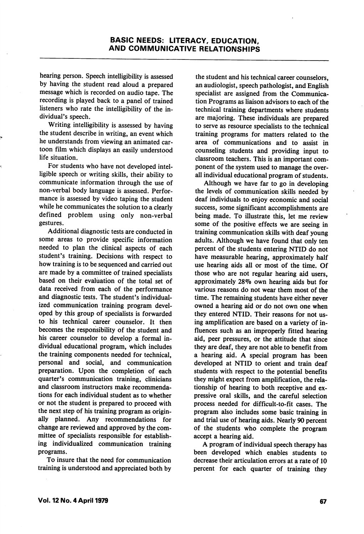hearing person. Speech intelligibility is assessed by having the student read aloud a prepared message which is recorded on audio tape. The recording is played back to a panel of trained listeners who rate the intelligibility of the in dividual's speech.

Writing intelligibility is assessed by having the student describe in writing, an event which he understands from viewing an animated car toon film which displays an easily understood life situation.

For students who have not developed intel ligible speech or writing skills, their ability to communicate information through the use of non-verbal body language is assessed. Perfor mance is assessed by video taping the student while he communicates the solution to a clearly defined problem using only non-verbal gestures.

Additional diagnostic tests are conducted in some areas to provide specific information needed to plan the clinical aspects of each student's training. Decisions with respect to how training is to be sequenced and carried out are made by a committee of trained specialists based on their evaluation of the total set of data received from each of the performance and diagnostic tests. The student's individual ized communication training program devel oped by this group of specialists is forwarded to his technical career counselor. It then becomes the responsibility of the student and his career counselor to develop a formal in dividual educational program, which includes the training components needed for technical, personal and social, and communication preparation. Upon the completion of each quarter's communication training, clinicians and classroom instructors make recommenda tions for each individual student as to whether or not the student is prepared to proceed with the next step of his training program as origin ally planned. Any recommendations for change are reviewed and approved by the com mittee of specialists responsible for establish ing individualized communication training programs.

To insure that the need for communication training is understood and appreciated both by

the student and his technical career counselors, an audiologist, speech pathologist, and English specialist are assigned from the Communica tion Programs as liaison advisors to each of the technical training departments where students are majoring. These individuals are prepared to serve as resource specialists to the technical training programs for matters related to the area of communications and to assist in counseling students and providing input to classroom teachers. This is an important com ponent of the system used to manage the over all individual educational program of students.

Although we have far to go in developing the levels of communication skills needed by deaf individuals to enjoy economic and social success, some significant accomplishments are being made. To illustrate this, let me review some of the positive effects we are seeing in training communication skills with deaf young adults. Although we have found that only ten percent of the students entering NTID do not have measurable hearing, approximately half use hearing aids all or most of the time. Of those who are not regular hearing aid users, approximately 28% own hearing aids but for various reasons do not wear them most of the time. The remaining students have either never owned a hearing aid or do not own one when they entered NTID. Their reasons for not us ing amplification are based on a variety of in fluences such as an improperly fitted hearing aid, peer pressures, or the attitude that since they are deaf, they are not able to benefit from a hearing aid. A special program has been developed at NTID to orient and train deaf students with respect to the potential benefits they might expect from amplification, the rela tionship of hearing to both receptive and ex pressive oral skills, and the careful selection process needed for difficult-to-fit cases. The program also includes some basic training in and trial use of hearing aids. Nearly 90 percent of the students who complete the program accept a hearing aid.

A program of individual speech therapy has been developed which enables students to decrease their articulation errors at a rate of 10 percent for each quarter of training they